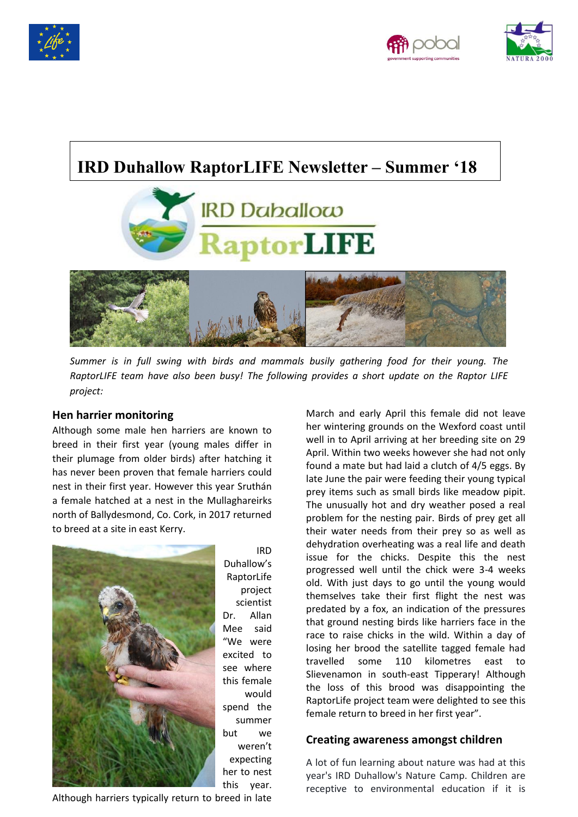





# **IRD Duhallow RaptorLIFE Newsletter – Summer '18**



*Summer is in full swing with birds and mammals busily gathering food for their young. The RaptorLIFE team have also been busy! The following provides a short update on the Raptor LIFE project:*

## **Hen harrier monitoring**

Although some male hen harriers are known to breed in their first year (young males differ in their plumage from older birds) after hatching it has never been proven that female harriers could nest in their first year. However this year Sruthán a female hatched at a nest in the Mullaghareirks north of Ballydesmond, Co. Cork, in 2017 returned to breed at a site in east Kerry.



IRD Duhallow's RaptorLife project scientist Dr. Allan Mee said "We were excited to see where this female would spend the summer but we weren't expecting her to nest this year.

March and early April this female did not leave her wintering grounds on the Wexford coast until well in to April arriving at her breeding site on 29 April. Within two weeks however she had not only found a mate but had laid a clutch of 4/5 eggs. By late June the pair were feeding their young typical prey items such as small birds like meadow pipit. The unusually hot and dry weather posed a real problem for the nesting pair. Birds of prey get all their water needs from their prey so as well as dehydration overheating was a real life and death issue for the chicks. Despite this the nest progressed well until the chick were 3-4 weeks old. With just days to go until the young would themselves take their first flight the nest was predated by a fox, an indication of the pressures that ground nesting birds like harriers face in the race to raise chicks in the wild. Within a day of losing her brood the satellite tagged female had travelled some 110 kilometres east to Slievenamon in south-east Tipperary! Although the loss of this brood was disappointing the RaptorLife project team were delighted to see this female return to breed in her first year".

## **Creating awareness amongst children**

A lot of fun learning about nature was had at this year's IRD Duhallow's Nature Camp. Children are receptive to environmental education if it is

Although harriers typically return to breed in late